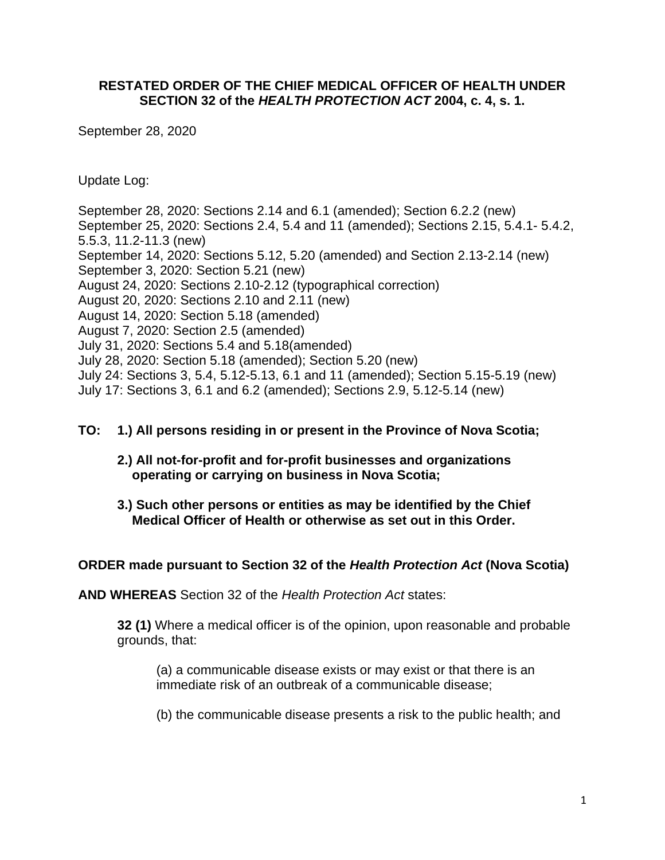### **RESTATED ORDER OF THE CHIEF MEDICAL OFFICER OF HEALTH UNDER SECTION 32 of the** *HEALTH PROTECTION ACT* **2004, c. 4, s. 1.**

September 28, 2020

Update Log:

September 28, 2020: Sections 2.14 and 6.1 (amended); Section 6.2.2 (new) September 25, 2020: Sections 2.4, 5.4 and 11 (amended); Sections 2.15, 5.4.1- 5.4.2, 5.5.3, 11.2-11.3 (new) September 14, 2020: Sections 5.12, 5.20 (amended) and Section 2.13-2.14 (new) September 3, 2020: Section 5.21 (new) August 24, 2020: Sections 2.10-2.12 (typographical correction) August 20, 2020: Sections 2.10 and 2.11 (new) August 14, 2020: Section 5.18 (amended) August 7, 2020: Section 2.5 (amended) July 31, 2020: Sections 5.4 and 5.18(amended) July 28, 2020: Section 5.18 (amended); Section 5.20 (new) July 24: Sections 3, 5.4, 5.12-5.13, 6.1 and 11 (amended); Section 5.15-5.19 (new) July 17: Sections 3, 6.1 and 6.2 (amended); Sections 2.9, 5.12-5.14 (new)

#### **TO: 1.) All persons residing in or present in the Province of Nova Scotia;**

- **2.) All not-for-profit and for-profit businesses and organizations operating or carrying on business in Nova Scotia;**
- **3.) Such other persons or entities as may be identified by the Chief Medical Officer of Health or otherwise as set out in this Order.**

#### **ORDER made pursuant to Section 32 of the** *Health Protection Act* **(Nova Scotia)**

**AND WHEREAS** Section 32 of the *Health Protection Act* states:

**32 (1)** Where a medical officer is of the opinion, upon reasonable and probable grounds, that:

(a) a communicable disease exists or may exist or that there is an immediate risk of an outbreak of a communicable disease;

(b) the communicable disease presents a risk to the public health; and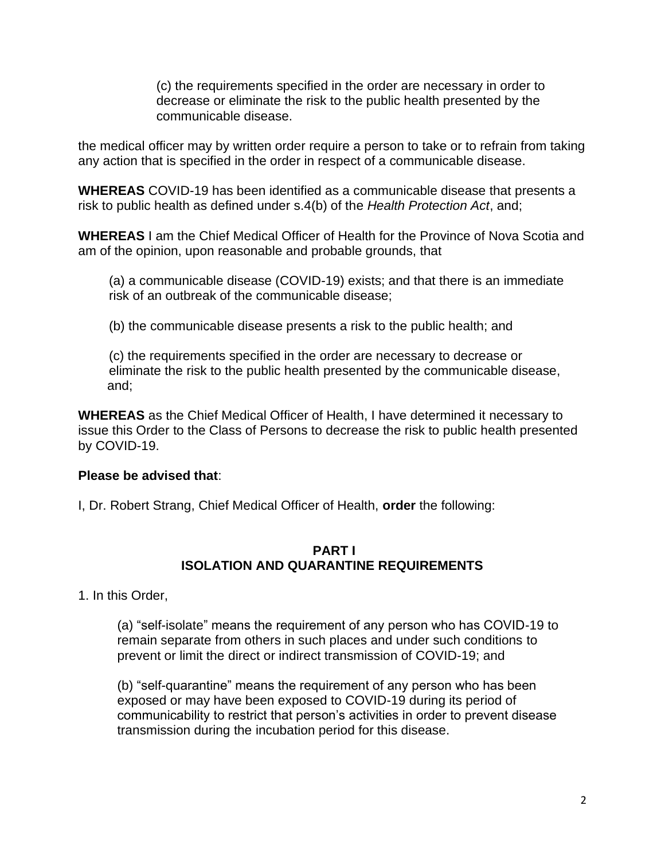(c) the requirements specified in the order are necessary in order to decrease or eliminate the risk to the public health presented by the communicable disease.

the medical officer may by written order require a person to take or to refrain from taking any action that is specified in the order in respect of a communicable disease.

**WHEREAS** COVID-19 has been identified as a communicable disease that presents a risk to public health as defined under s.4(b) of the *Health Protection Act*, and;

**WHEREAS** I am the Chief Medical Officer of Health for the Province of Nova Scotia and am of the opinion, upon reasonable and probable grounds, that

(a) a communicable disease (COVID-19) exists; and that there is an immediate risk of an outbreak of the communicable disease;

(b) the communicable disease presents a risk to the public health; and

(c) the requirements specified in the order are necessary to decrease or eliminate the risk to the public health presented by the communicable disease, and;

**WHEREAS** as the Chief Medical Officer of Health, I have determined it necessary to issue this Order to the Class of Persons to decrease the risk to public health presented by COVID-19.

### **Please be advised that**:

I, Dr. Robert Strang, Chief Medical Officer of Health, **order** the following:

#### **PART I ISOLATION AND QUARANTINE REQUIREMENTS**

1. In this Order,

(a) "self-isolate" means the requirement of any person who has COVID-19 to remain separate from others in such places and under such conditions to prevent or limit the direct or indirect transmission of COVID-19; and

(b) "self-quarantine" means the requirement of any person who has been exposed or may have been exposed to COVID-19 during its period of communicability to restrict that person's activities in order to prevent disease transmission during the incubation period for this disease.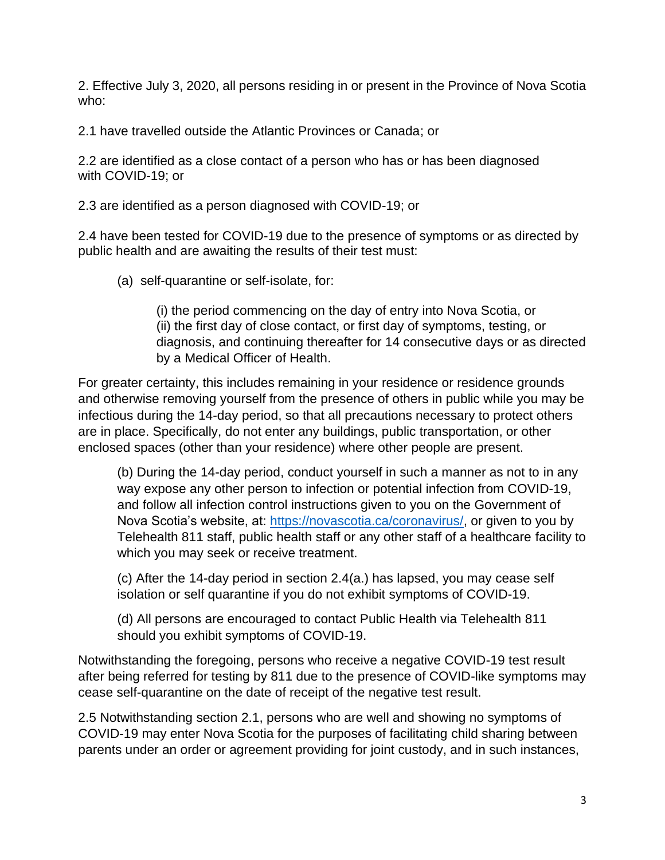2. Effective July 3, 2020, all persons residing in or present in the Province of Nova Scotia who:

2.1 have travelled outside the Atlantic Provinces or Canada; or

2.2 are identified as a close contact of a person who has or has been diagnosed with COVID-19; or

2.3 are identified as a person diagnosed with COVID-19; or

2.4 have been tested for COVID-19 due to the presence of symptoms or as directed by public health and are awaiting the results of their test must:

(a) self-quarantine or self-isolate, for:

(i) the period commencing on the day of entry into Nova Scotia, or (ii) the first day of close contact, or first day of symptoms, testing, or diagnosis, and continuing thereafter for 14 consecutive days or as directed by a Medical Officer of Health.

For greater certainty, this includes remaining in your residence or residence grounds and otherwise removing yourself from the presence of others in public while you may be infectious during the 14-day period, so that all precautions necessary to protect others are in place. Specifically, do not enter any buildings, public transportation, or other enclosed spaces (other than your residence) where other people are present.

(b) During the 14-day period, conduct yourself in such a manner as not to in any way expose any other person to infection or potential infection from COVID-19, and follow all infection control instructions given to you on the Government of Nova Scotia's website, at: [https://novascotia.ca/coronavirus/,](https://novascotia.ca/coronavirus/) or given to you by Telehealth 811 staff, public health staff or any other staff of a healthcare facility to which you may seek or receive treatment.

(c) After the 14-day period in section 2.4(a.) has lapsed, you may cease self isolation or self quarantine if you do not exhibit symptoms of COVID-19.

(d) All persons are encouraged to contact Public Health via Telehealth 811 should you exhibit symptoms of COVID-19.

Notwithstanding the foregoing, persons who receive a negative COVID-19 test result after being referred for testing by 811 due to the presence of COVID-like symptoms may cease self-quarantine on the date of receipt of the negative test result.

2.5 Notwithstanding section 2.1, persons who are well and showing no symptoms of COVID-19 may enter Nova Scotia for the purposes of facilitating child sharing between parents under an order or agreement providing for joint custody, and in such instances,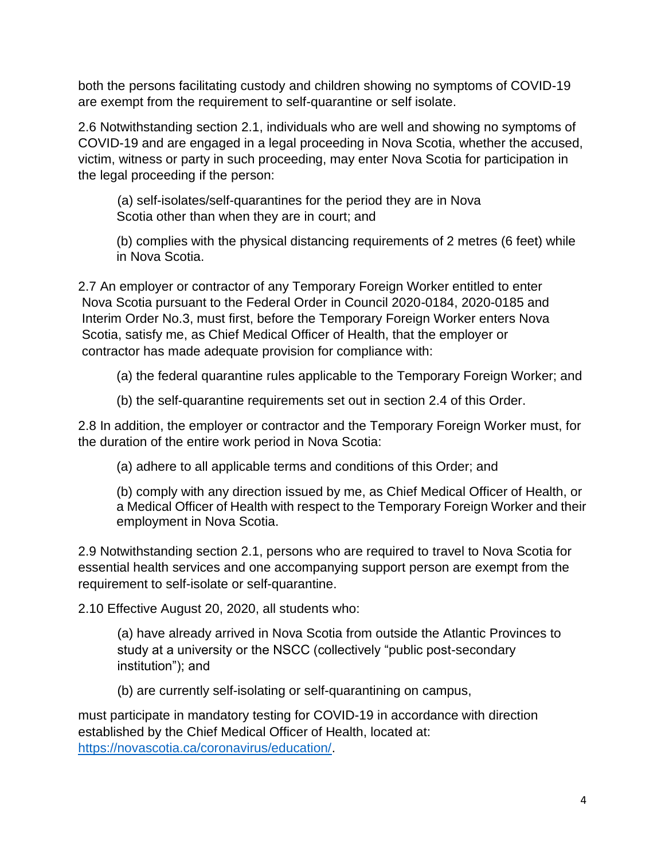both the persons facilitating custody and children showing no symptoms of COVID-19 are exempt from the requirement to self-quarantine or self isolate.

2.6 Notwithstanding section 2.1, individuals who are well and showing no symptoms of COVID-19 and are engaged in a legal proceeding in Nova Scotia, whether the accused, victim, witness or party in such proceeding, may enter Nova Scotia for participation in the legal proceeding if the person:

(a) self-isolates/self-quarantines for the period they are in Nova Scotia other than when they are in court; and

(b) complies with the physical distancing requirements of 2 metres (6 feet) while in Nova Scotia.

2.7 An employer or contractor of any Temporary Foreign Worker entitled to enter Nova Scotia pursuant to the Federal Order in Council 2020-0184, 2020-0185 and Interim Order No.3, must first, before the Temporary Foreign Worker enters Nova Scotia, satisfy me, as Chief Medical Officer of Health, that the employer or contractor has made adequate provision for compliance with:

(a) the federal quarantine rules applicable to the Temporary Foreign Worker; and

(b) the self-quarantine requirements set out in section 2.4 of this Order.

2.8 In addition, the employer or contractor and the Temporary Foreign Worker must, for the duration of the entire work period in Nova Scotia:

(a) adhere to all applicable terms and conditions of this Order; and

(b) comply with any direction issued by me, as Chief Medical Officer of Health, or a Medical Officer of Health with respect to the Temporary Foreign Worker and their employment in Nova Scotia.

2.9 Notwithstanding section 2.1, persons who are required to travel to Nova Scotia for essential health services and one accompanying support person are exempt from the requirement to self-isolate or self-quarantine.

2.10 Effective August 20, 2020, all students who:

(a) have already arrived in Nova Scotia from outside the Atlantic Provinces to study at a university or the NSCC (collectively "public post-secondary institution"); and

(b) are currently self-isolating or self-quarantining on campus,

must participate in mandatory testing for COVID-19 in accordance with direction established by the Chief Medical Officer of Health, located at: [https://novascotia.ca/coronavirus/education/.](https://novascotia.ca/coronavirus/education/)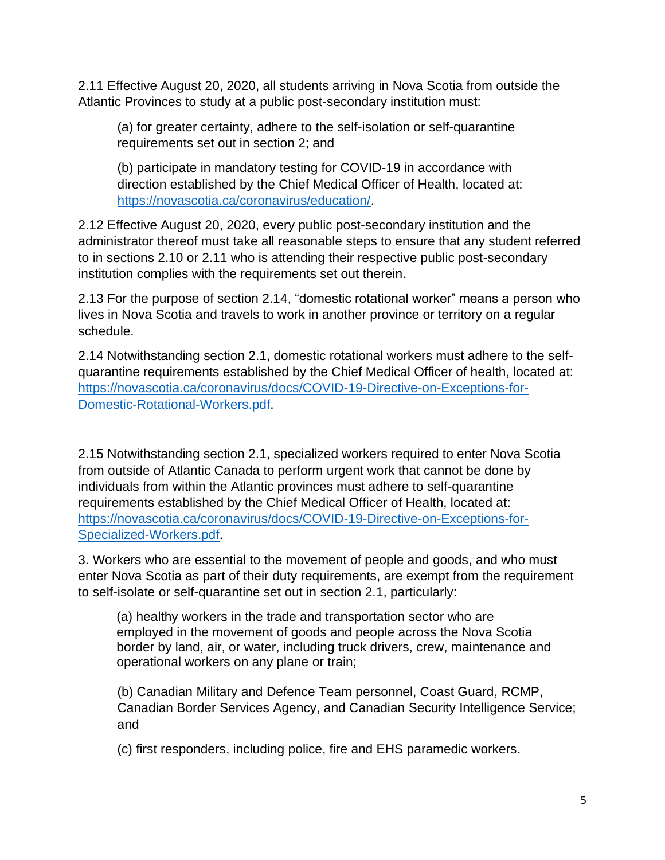2.11 Effective August 20, 2020, all students arriving in Nova Scotia from outside the Atlantic Provinces to study at a public post-secondary institution must:

(a) for greater certainty, adhere to the self-isolation or self-quarantine requirements set out in section 2; and

(b) participate in mandatory testing for COVID-19 in accordance with direction established by the Chief Medical Officer of Health, located at: [https://novascotia.ca/coronavirus/education/.](https://novascotia.ca/coronavirus/education/)

2.12 Effective August 20, 2020, every public post-secondary institution and the administrator thereof must take all reasonable steps to ensure that any student referred to in sections 2.10 or 2.11 who is attending their respective public post-secondary institution complies with the requirements set out therein.

2.13 For the purpose of section 2.14, "domestic rotational worker" means a person who lives in Nova Scotia and travels to work in another province or territory on a regular schedule.

2.14 Notwithstanding section 2.1, domestic rotational workers must adhere to the selfquarantine requirements established by the Chief Medical Officer of health, located at: [https://novascotia.ca/coronavirus/docs/COVID-19-Directive-on-Exceptions-for-](https://novascotia.ca/coronavirus/docs/COVID-19-Directive-on-Exceptions-for-Domestic-Rotational-Workers.pdf)[Domestic-Rotational-Workers.pdf.](https://novascotia.ca/coronavirus/docs/COVID-19-Directive-on-Exceptions-for-Domestic-Rotational-Workers.pdf)

2.15 Notwithstanding section 2.1, specialized workers required to enter Nova Scotia from outside of Atlantic Canada to perform urgent work that cannot be done by individuals from within the Atlantic provinces must adhere to self-quarantine requirements established by the Chief Medical Officer of Health, located at: [https://novascotia.ca/coronavirus/docs/COVID-19-Directive-on-Exceptions-for-](https://novascotia.ca/coronavirus/docs/COVID-19-Directive-on-Exceptions-for-Specialized-Workers.pdf)[Specialized-Workers.pdf.](https://novascotia.ca/coronavirus/docs/COVID-19-Directive-on-Exceptions-for-Specialized-Workers.pdf)

3. Workers who are essential to the movement of people and goods, and who must enter Nova Scotia as part of their duty requirements, are exempt from the requirement to self-isolate or self-quarantine set out in section 2.1, particularly:

(a) healthy workers in the trade and transportation sector who are employed in the movement of goods and people across the Nova Scotia border by land, air, or water, including truck drivers, crew, maintenance and operational workers on any plane or train;

(b) Canadian Military and Defence Team personnel, Coast Guard, RCMP, Canadian Border Services Agency, and Canadian Security Intelligence Service; and

(c) first responders, including police, fire and EHS paramedic workers.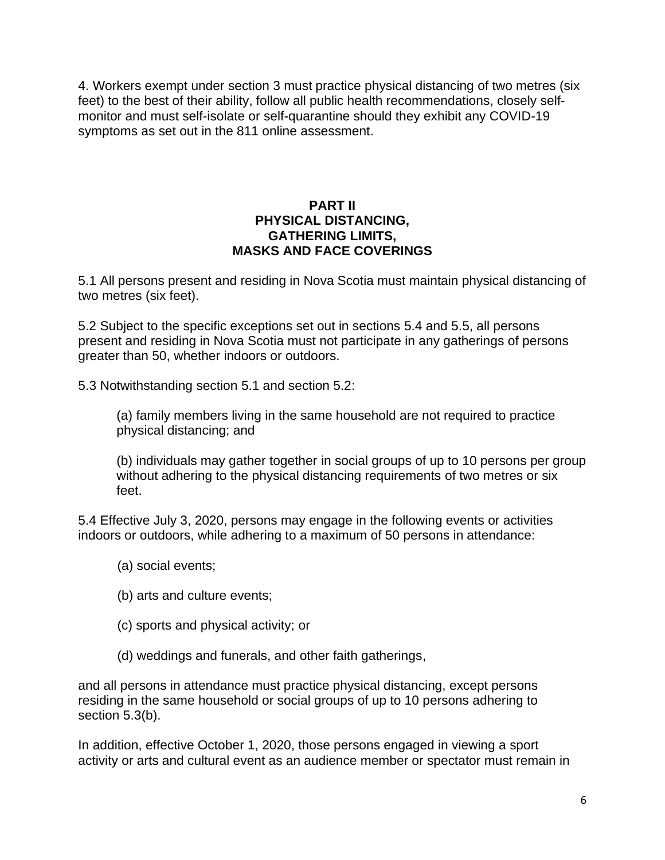4. Workers exempt under section 3 must practice physical distancing of two metres (six feet) to the best of their ability, follow all public health recommendations, closely selfmonitor and must self-isolate or self-quarantine should they exhibit any COVID-19 symptoms as set out in the 811 online assessment.

### **PART II PHYSICAL DISTANCING, GATHERING LIMITS, MASKS AND FACE COVERINGS**

5.1 All persons present and residing in Nova Scotia must maintain physical distancing of two metres (six feet).

5.2 Subject to the specific exceptions set out in sections 5.4 and 5.5, all persons present and residing in Nova Scotia must not participate in any gatherings of persons greater than 50, whether indoors or outdoors.

5.3 Notwithstanding section 5.1 and section 5.2:

(a) family members living in the same household are not required to practice physical distancing; and

(b) individuals may gather together in social groups of up to 10 persons per group without adhering to the physical distancing requirements of two metres or six feet.

5.4 Effective July 3, 2020, persons may engage in the following events or activities indoors or outdoors, while adhering to a maximum of 50 persons in attendance:

- (a) social events;
- (b) arts and culture events;
- (c) sports and physical activity; or
- (d) weddings and funerals, and other faith gatherings,

and all persons in attendance must practice physical distancing, except persons residing in the same household or social groups of up to 10 persons adhering to section 5.3(b).

In addition, effective October 1, 2020, those persons engaged in viewing a sport activity or arts and cultural event as an audience member or spectator must remain in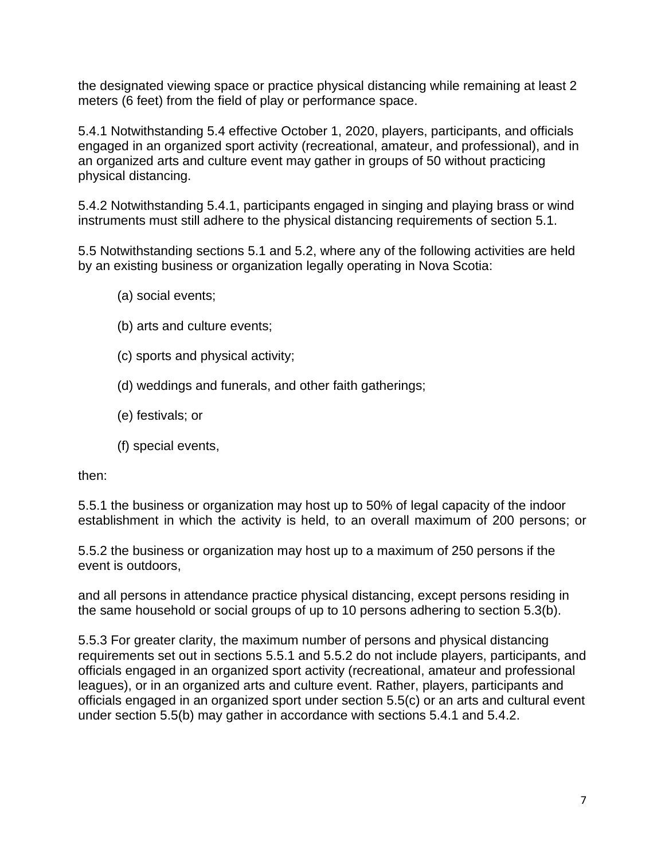the designated viewing space or practice physical distancing while remaining at least 2 meters (6 feet) from the field of play or performance space.

5.4.1 Notwithstanding 5.4 effective October 1, 2020, players, participants, and officials engaged in an organized sport activity (recreational, amateur, and professional), and in an organized arts and culture event may gather in groups of 50 without practicing physical distancing.

5.4.2 Notwithstanding 5.4.1, participants engaged in singing and playing brass or wind instruments must still adhere to the physical distancing requirements of section 5.1.

5.5 Notwithstanding sections 5.1 and 5.2, where any of the following activities are held by an existing business or organization legally operating in Nova Scotia:

- (a) social events;
- (b) arts and culture events;
- (c) sports and physical activity;
- (d) weddings and funerals, and other faith gatherings;
- (e) festivals; or
- (f) special events,

then:

5.5.1 the business or organization may host up to 50% of legal capacity of the indoor establishment in which the activity is held, to an overall maximum of 200 persons; or

5.5.2 the business or organization may host up to a maximum of 250 persons if the event is outdoors,

and all persons in attendance practice physical distancing, except persons residing in the same household or social groups of up to 10 persons adhering to section 5.3(b).

5.5.3 For greater clarity, the maximum number of persons and physical distancing requirements set out in sections 5.5.1 and 5.5.2 do not include players, participants, and officials engaged in an organized sport activity (recreational, amateur and professional leagues), or in an organized arts and culture event. Rather, players, participants and officials engaged in an organized sport under section 5.5(c) or an arts and cultural event under section 5.5(b) may gather in accordance with sections 5.4.1 and 5.4.2.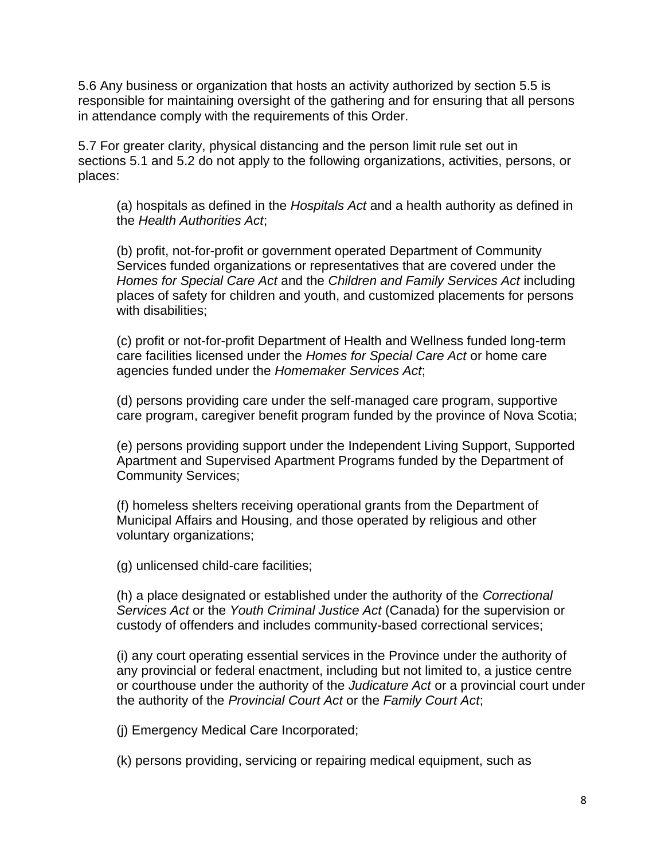5.6 Any business or organization that hosts an activity authorized by section 5.5 is responsible for maintaining oversight of the gathering and for ensuring that all persons in attendance comply with the requirements of this Order.

5.7 For greater clarity, physical distancing and the person limit rule set out in sections 5.1 and 5.2 do not apply to the following organizations, activities, persons, or places:

(a) hospitals as defined in the *Hospitals Act* and a health authority as defined in the *Health Authorities Act*;

(b) profit, not-for-profit or government operated Department of Community Services funded organizations or representatives that are covered under the *Homes for Special Care Act* and the *Children and Family Services Act* including places of safety for children and youth, and customized placements for persons with disabilities;

(c) profit or not-for-profit Department of Health and Wellness funded long-term care facilities licensed under the *Homes for Special Care Act* or home care agencies funded under the *Homemaker Services Act*;

(d) persons providing care under the self-managed care program, supportive care program, caregiver benefit program funded by the province of Nova Scotia;

(e) persons providing support under the Independent Living Support, Supported Apartment and Supervised Apartment Programs funded by the Department of Community Services;

(f) homeless shelters receiving operational grants from the Department of Municipal Affairs and Housing, and those operated by religious and other voluntary organizations;

(g) unlicensed child-care facilities;

(h) a place designated or established under the authority of the *Correctional Services Act* or the *Youth Criminal Justice Act* (Canada) for the supervision or custody of offenders and includes community-based correctional services;

(i) any court operating essential services in the Province under the authority of any provincial or federal enactment, including but not limited to, a justice centre or courthouse under the authority of the *Judicature Act* or a provincial court under the authority of the *Provincial Court Act* or the *Family Court Act*;

(j) Emergency Medical Care Incorporated;

(k) persons providing, servicing or repairing medical equipment, such as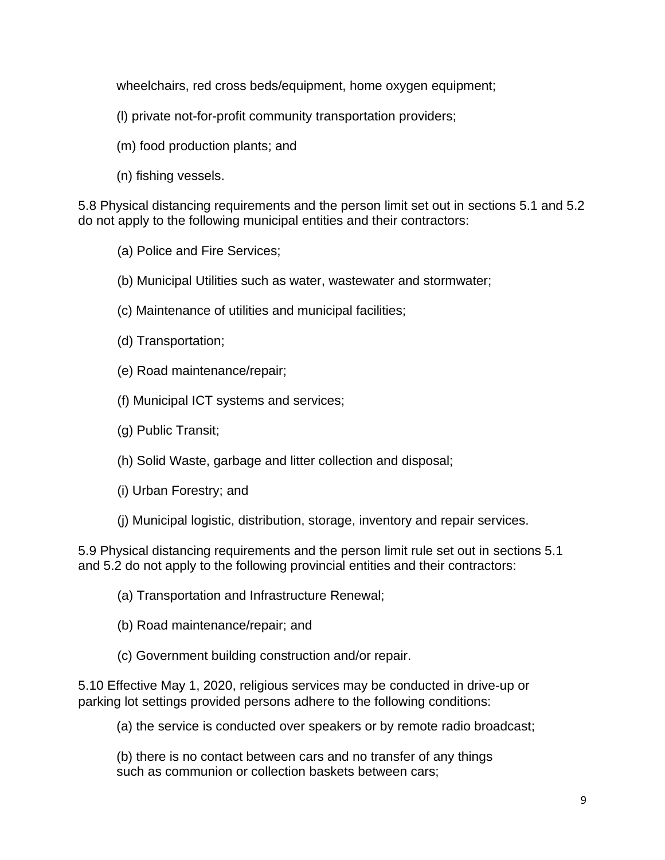wheelchairs, red cross beds/equipment, home oxygen equipment;

- (l) private not-for-profit community transportation providers;
- (m) food production plants; and
- (n) fishing vessels.

5.8 Physical distancing requirements and the person limit set out in sections 5.1 and 5.2 do not apply to the following municipal entities and their contractors:

(a) Police and Fire Services;

- (b) Municipal Utilities such as water, wastewater and stormwater;
- (c) Maintenance of utilities and municipal facilities;
- (d) Transportation;
- (e) Road maintenance/repair;
- (f) Municipal ICT systems and services;
- (g) Public Transit;
- (h) Solid Waste, garbage and litter collection and disposal;
- (i) Urban Forestry; and
- (j) Municipal logistic, distribution, storage, inventory and repair services.

5.9 Physical distancing requirements and the person limit rule set out in sections 5.1 and 5.2 do not apply to the following provincial entities and their contractors:

- (a) Transportation and Infrastructure Renewal;
- (b) Road maintenance/repair; and
- (c) Government building construction and/or repair.

5.10 Effective May 1, 2020, religious services may be conducted in drive-up or parking lot settings provided persons adhere to the following conditions:

(a) the service is conducted over speakers or by remote radio broadcast;

(b) there is no contact between cars and no transfer of any things such as communion or collection baskets between cars;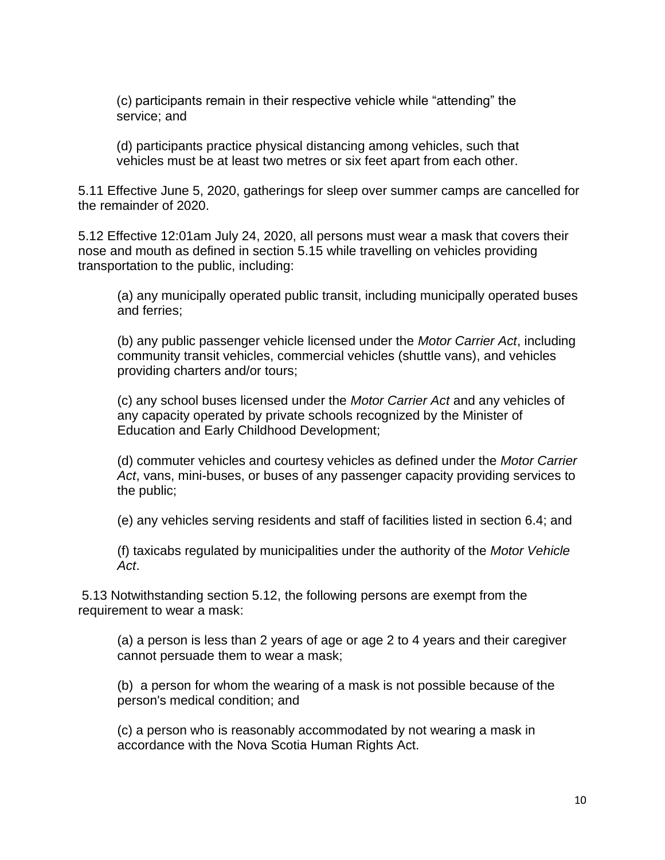(c) participants remain in their respective vehicle while "attending" the service; and

(d) participants practice physical distancing among vehicles, such that vehicles must be at least two metres or six feet apart from each other.

5.11 Effective June 5, 2020, gatherings for sleep over summer camps are cancelled for the remainder of 2020.

5.12 Effective 12:01am July 24, 2020, all persons must wear a mask that covers their nose and mouth as defined in section 5.15 while travelling on vehicles providing transportation to the public, including:

(a) any municipally operated public transit, including municipally operated buses and ferries;

(b) any public passenger vehicle licensed under the *Motor Carrier Act*, including community transit vehicles, commercial vehicles (shuttle vans), and vehicles providing charters and/or tours;

(c) any school buses licensed under the *Motor Carrier Act* and any vehicles of any capacity operated by private schools recognized by the Minister of Education and Early Childhood Development;

(d) commuter vehicles and courtesy vehicles as defined under the *Motor Carrier Act*, vans, mini-buses, or buses of any passenger capacity providing services to the public;

(e) any vehicles serving residents and staff of facilities listed in section 6.4; and

(f) taxicabs regulated by municipalities under the authority of the *Motor Vehicle Act*.

5.13 Notwithstanding section 5.12, the following persons are exempt from the requirement to wear a mask:

(a) a person is less than 2 years of age or age 2 to 4 years and their caregiver cannot persuade them to wear a mask;

(b) a person for whom the wearing of a mask is not possible because of the person's medical condition; and

(c) a person who is reasonably accommodated by not wearing a mask in accordance with the Nova Scotia Human Rights Act.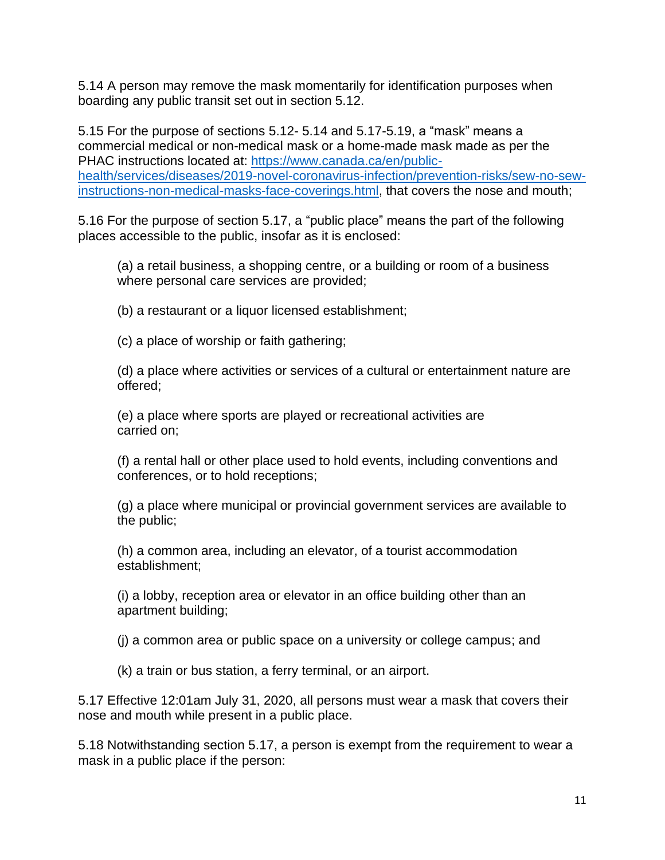5.14 A person may remove the mask momentarily for identification purposes when boarding any public transit set out in section 5.12.

5.15 For the purpose of sections 5.12- 5.14 and 5.17-5.19, a "mask" means a commercial medical or non-medical mask or a home-made mask made as per the PHAC instructions located at: [https://www.canada.ca/en/public](https://www.canada.ca/en/public-health/services/diseases/2019-novel-coronavirus-infection/prevention-risks/sew-no-sew-instructions-non-medical-masks-face-coverings.html)[health/services/diseases/2019-novel-coronavirus-infection/prevention-risks/sew-no-sew](https://www.canada.ca/en/public-health/services/diseases/2019-novel-coronavirus-infection/prevention-risks/sew-no-sew-instructions-non-medical-masks-face-coverings.html)[instructions-non-medical-masks-face-coverings.html,](https://www.canada.ca/en/public-health/services/diseases/2019-novel-coronavirus-infection/prevention-risks/sew-no-sew-instructions-non-medical-masks-face-coverings.html) that covers the nose and mouth;

5.16 For the purpose of section 5.17, a "public place" means the part of the following places accessible to the public, insofar as it is enclosed:

(a) a retail business, a shopping centre, or a building or room of a business where personal care services are provided;

(b) a restaurant or a liquor licensed establishment;

(c) a place of worship or faith gathering;

(d) a place where activities or services of a cultural or entertainment nature are offered;

(e) a place where sports are played or recreational activities are carried on;

(f) a rental hall or other place used to hold events, including conventions and conferences, or to hold receptions;

(g) a place where municipal or provincial government services are available to the public;

(h) a common area, including an elevator, of a tourist accommodation establishment;

(i) a lobby, reception area or elevator in an office building other than an apartment building;

(j) a common area or public space on a university or college campus; and

(k) a train or bus station, a ferry terminal, or an airport.

5.17 Effective 12:01am July 31, 2020, all persons must wear a mask that covers their nose and mouth while present in a public place.

5.18 Notwithstanding section 5.17, a person is exempt from the requirement to wear a mask in a public place if the person: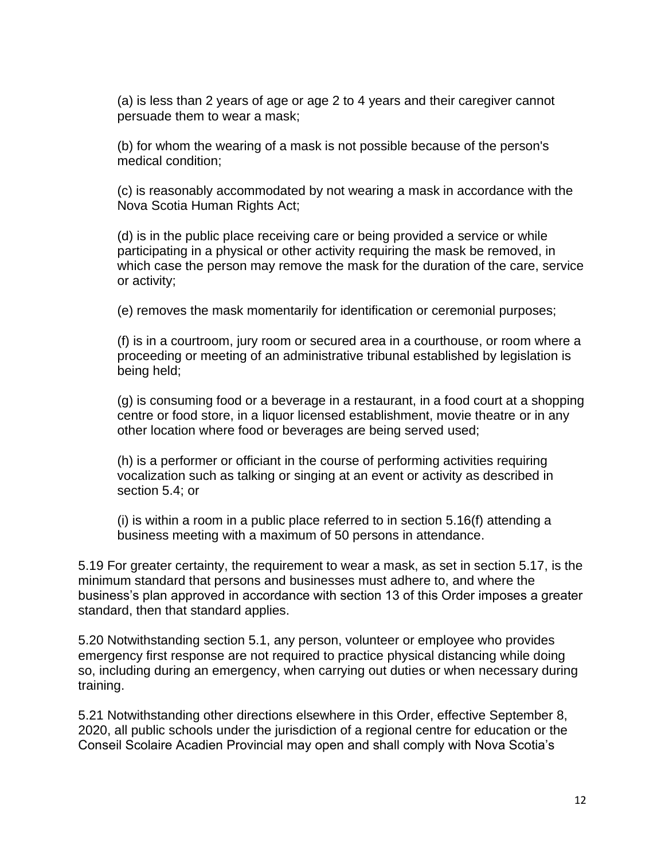(a) is less than 2 years of age or age 2 to 4 years and their caregiver cannot persuade them to wear a mask;

(b) for whom the wearing of a mask is not possible because of the person's medical condition;

(c) is reasonably accommodated by not wearing a mask in accordance with the Nova Scotia Human Rights Act;

(d) is in the public place receiving care or being provided a service or while participating in a physical or other activity requiring the mask be removed, in which case the person may remove the mask for the duration of the care, service or activity;

(e) removes the mask momentarily for identification or ceremonial purposes;

(f) is in a courtroom, jury room or secured area in a courthouse, or room where a proceeding or meeting of an administrative tribunal established by legislation is being held;

(g) is consuming food or a beverage in a restaurant, in a food court at a shopping centre or food store, in a liquor licensed establishment, movie theatre or in any other location where food or beverages are being served used;

(h) is a performer or officiant in the course of performing activities requiring vocalization such as talking or singing at an event or activity as described in section 5.4; or

(i) is within a room in a public place referred to in section 5.16(f) attending a business meeting with a maximum of 50 persons in attendance.

5.19 For greater certainty, the requirement to wear a mask, as set in section 5.17, is the minimum standard that persons and businesses must adhere to, and where the business's plan approved in accordance with section 13 of this Order imposes a greater standard, then that standard applies.

5.20 Notwithstanding section 5.1, any person, volunteer or employee who provides emergency first response are not required to practice physical distancing while doing so, including during an emergency, when carrying out duties or when necessary during training.

5.21 Notwithstanding other directions elsewhere in this Order, effective September 8, 2020, all public schools under the jurisdiction of a regional centre for education or the Conseil Scolaire Acadien Provincial may open and shall comply with Nova Scotia's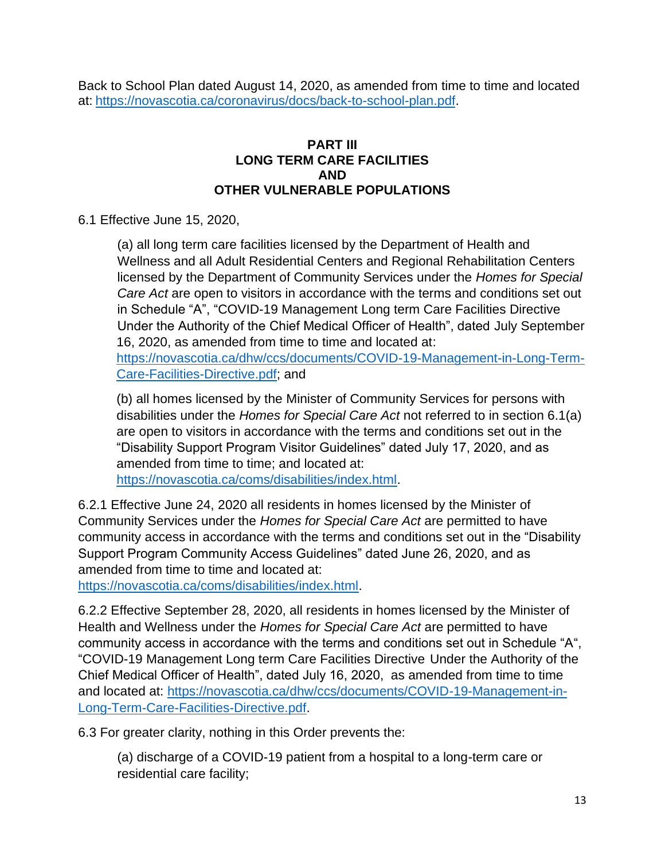Back to School Plan dated August 14, 2020, as amended from time to time and located at: [https://novascotia.ca/coronavirus/docs/back-to-school-plan.pdf.](https://novascotia.ca/coronavirus/docs/back-to-school-plan.pdf)

### **PART III LONG TERM CARE FACILITIES AND OTHER VULNERABLE POPULATIONS**

6.1 Effective June 15, 2020,

(a) all long term care facilities licensed by the Department of Health and Wellness and all Adult Residential Centers and Regional Rehabilitation Centers licensed by the Department of Community Services under the *Homes for Special Care Act* are open to visitors in accordance with the terms and conditions set out in Schedule "A", "COVID-19 Management Long term Care Facilities Directive Under the Authority of the Chief Medical Officer of Health", dated July September 16, 2020, as amended from time to time and located at:

[https://novascotia.ca/dhw/ccs/documents/COVID-19-Management-in-Long-Term-](https://novascotia.ca/dhw/ccs/documents/COVID-19-Management-in-Long-Term-Care-Facilities-Directive.pdf)[Care-Facilities-Directive.pdf;](https://novascotia.ca/dhw/ccs/documents/COVID-19-Management-in-Long-Term-Care-Facilities-Directive.pdf) and

(b) all homes licensed by the Minister of Community Services for persons with disabilities under the *Homes for Special Care Act* not referred to in section 6.1(a) are open to visitors in accordance with the terms and conditions set out in the "Disability Support Program Visitor Guidelines" dated July 17, 2020, and as amended from time to time; and located at:

[https://novascotia.ca/coms/disabilities/index.html.](https://novascotia.ca/coms/disabilities/index.html)

6.2.1 Effective June 24, 2020 all residents in homes licensed by the Minister of Community Services under the *Homes for Special Care Act* are permitted to have community access in accordance with the terms and conditions set out in the "Disability Support Program Community Access Guidelines" dated June 26, 2020, and as amended from time to time and located at:

[https://novascotia.ca/coms/disabilities/index.html.](https://novascotia.ca/coms/disabilities/index.html)

6.2.2 Effective September 28, 2020, all residents in homes licensed by the Minister of Health and Wellness under the *Homes for Special Care Act* are permitted to have community access in accordance with the terms and conditions set out in Schedule "A", "COVID-19 Management Long term Care Facilities Directive Under the Authority of the Chief Medical Officer of Health", dated July 16, 2020, as amended from time to time and located at: [https://novascotia.ca/dhw/ccs/documents/COVID-19-Management-in-](https://novascotia.ca/dhw/ccs/documents/COVID-19-Management-in-Long-Term-Care-Facilities-Directive.pdf)[Long-Term-Care-Facilities-Directive.pdf.](https://novascotia.ca/dhw/ccs/documents/COVID-19-Management-in-Long-Term-Care-Facilities-Directive.pdf)

6.3 For greater clarity, nothing in this Order prevents the:

(a) discharge of a COVID-19 patient from a hospital to a long-term care or residential care facility;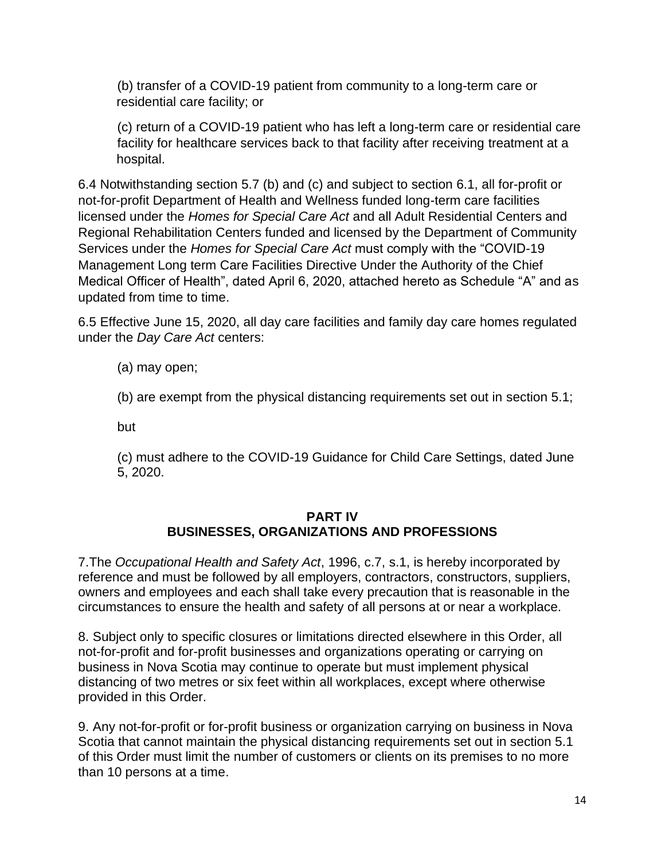(b) transfer of a COVID-19 patient from community to a long-term care or residential care facility; or

(c) return of a COVID-19 patient who has left a long-term care or residential care facility for healthcare services back to that facility after receiving treatment at a hospital.

6.4 Notwithstanding section 5.7 (b) and (c) and subject to section 6.1, all for-profit or not-for-profit Department of Health and Wellness funded long-term care facilities licensed under the *Homes for Special Care Act* and all Adult Residential Centers and Regional Rehabilitation Centers funded and licensed by the Department of Community Services under the *Homes for Special Care Act* must comply with the "COVID-19 Management Long term Care Facilities Directive Under the Authority of the Chief Medical Officer of Health", dated April 6, 2020, attached hereto as Schedule "A" and as updated from time to time.

6.5 Effective June 15, 2020, all day care facilities and family day care homes regulated under the *Day Care Act* centers:

(a) may open;

(b) are exempt from the physical distancing requirements set out in section 5.1;

but

(c) must adhere to the COVID-19 Guidance for Child Care Settings, dated June 5, 2020.

# **PART IV BUSINESSES, ORGANIZATIONS AND PROFESSIONS**

7.The *Occupational Health and Safety Act*, 1996, c.7, s.1, is hereby incorporated by reference and must be followed by all employers, contractors, constructors, suppliers, owners and employees and each shall take every precaution that is reasonable in the circumstances to ensure the health and safety of all persons at or near a workplace.

8. Subject only to specific closures or limitations directed elsewhere in this Order, all not-for-profit and for-profit businesses and organizations operating or carrying on business in Nova Scotia may continue to operate but must implement physical distancing of two metres or six feet within all workplaces, except where otherwise provided in this Order.

9. Any not-for-profit or for-profit business or organization carrying on business in Nova Scotia that cannot maintain the physical distancing requirements set out in section 5.1 of this Order must limit the number of customers or clients on its premises to no more than 10 persons at a time.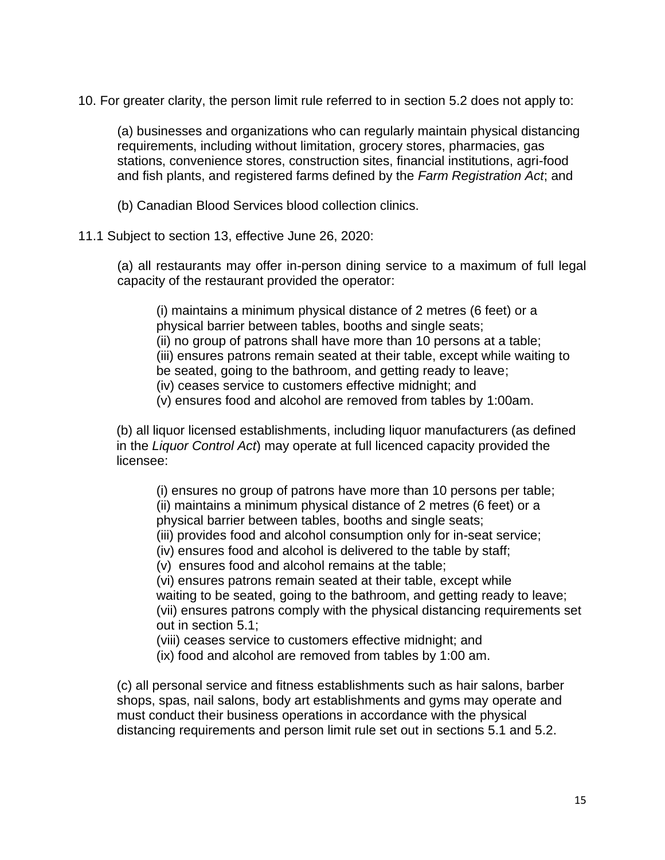10. For greater clarity, the person limit rule referred to in section 5.2 does not apply to:

(a) businesses and organizations who can regularly maintain physical distancing requirements, including without limitation, grocery stores, pharmacies, gas stations, convenience stores, construction sites, financial institutions, agri-food and fish plants, and registered farms defined by the *Farm Registration Act*; and

(b) Canadian Blood Services blood collection clinics.

11.1 Subject to section 13, effective June 26, 2020:

(a) all restaurants may offer in-person dining service to a maximum of full legal capacity of the restaurant provided the operator:

(i) maintains a minimum physical distance of 2 metres (6 feet) or a physical barrier between tables, booths and single seats; (ii) no group of patrons shall have more than 10 persons at a table; (iii) ensures patrons remain seated at their table, except while waiting to be seated, going to the bathroom, and getting ready to leave; (iv) ceases service to customers effective midnight; and (v) ensures food and alcohol are removed from tables by 1:00am.

(b) all liquor licensed establishments, including liquor manufacturers (as defined in the *Liquor Control Act*) may operate at full licenced capacity provided the licensee:

(i) ensures no group of patrons have more than 10 persons per table; (ii) maintains a minimum physical distance of 2 metres (6 feet) or a physical barrier between tables, booths and single seats;

(iii) provides food and alcohol consumption only for in-seat service;

(iv) ensures food and alcohol is delivered to the table by staff;

(v) ensures food and alcohol remains at the table;

(vi) ensures patrons remain seated at their table, except while waiting to be seated, going to the bathroom, and getting ready to leave; (vii) ensures patrons comply with the physical distancing requirements set out in section 5.1;

(viii) ceases service to customers effective midnight; and

(ix) food and alcohol are removed from tables by 1:00 am.

(c) all personal service and fitness establishments such as hair salons, barber shops, spas, nail salons, body art establishments and gyms may operate and must conduct their business operations in accordance with the physical distancing requirements and person limit rule set out in sections 5.1 and 5.2.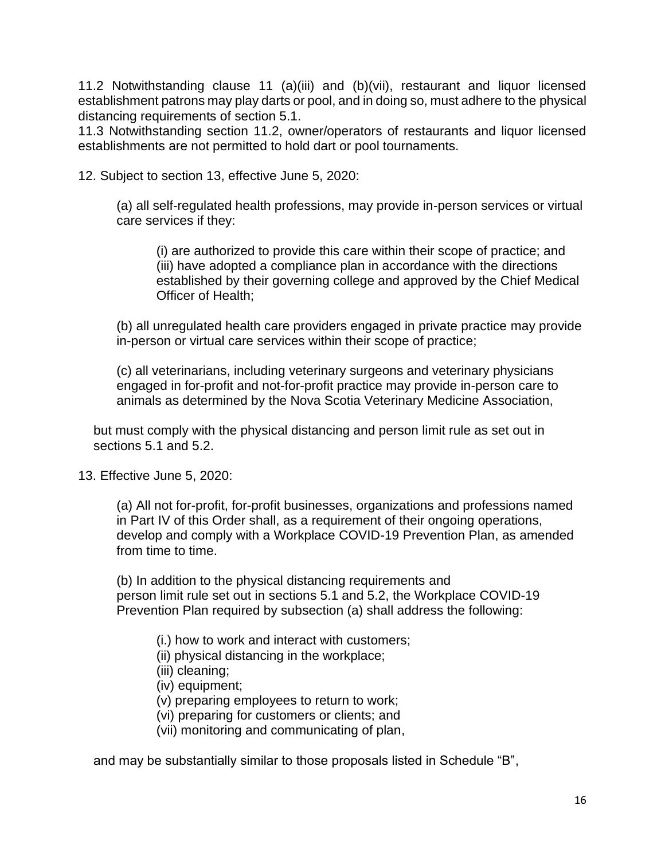11.2 Notwithstanding clause 11 (a)(iii) and (b)(vii), restaurant and liquor licensed establishment patrons may play darts or pool, and in doing so, must adhere to the physical distancing requirements of section 5.1.

11.3 Notwithstanding section 11.2, owner/operators of restaurants and liquor licensed establishments are not permitted to hold dart or pool tournaments.

12. Subject to section 13, effective June 5, 2020:

(a) all self-regulated health professions, may provide in-person services or virtual care services if they:

(i) are authorized to provide this care within their scope of practice; and (iii) have adopted a compliance plan in accordance with the directions established by their governing college and approved by the Chief Medical Officer of Health;

(b) all unregulated health care providers engaged in private practice may provide in-person or virtual care services within their scope of practice;

(c) all veterinarians, including veterinary surgeons and veterinary physicians engaged in for-profit and not-for-profit practice may provide in-person care to animals as determined by the Nova Scotia Veterinary Medicine Association,

but must comply with the physical distancing and person limit rule as set out in sections 5.1 and 5.2.

13. Effective June 5, 2020:

(a) All not for-profit, for-profit businesses, organizations and professions named in Part IV of this Order shall, as a requirement of their ongoing operations, develop and comply with a Workplace COVID-19 Prevention Plan, as amended from time to time.

(b) In addition to the physical distancing requirements and person limit rule set out in sections 5.1 and 5.2, the Workplace COVID-19 Prevention Plan required by subsection (a) shall address the following:

- (i.) how to work and interact with customers;
- (ii) physical distancing in the workplace;
- (iii) cleaning;
- (iv) equipment;
- (v) preparing employees to return to work;
- (vi) preparing for customers or clients; and
- (vii) monitoring and communicating of plan,

and may be substantially similar to those proposals listed in Schedule "B",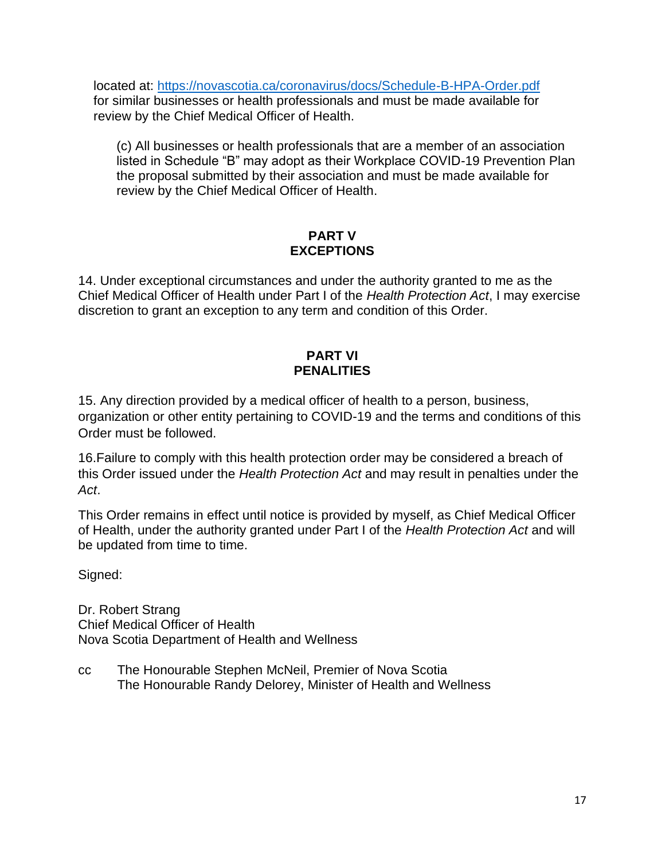located at:<https://novascotia.ca/coronavirus/docs/Schedule-B-HPA-Order.pdf> for similar businesses or health professionals and must be made available for review by the Chief Medical Officer of Health.

(c) All businesses or health professionals that are a member of an association listed in Schedule "B" may adopt as their Workplace COVID-19 Prevention Plan the proposal submitted by their association and must be made available for review by the Chief Medical Officer of Health.

# **PART V EXCEPTIONS**

14. Under exceptional circumstances and under the authority granted to me as the Chief Medical Officer of Health under Part I of the *Health Protection Act*, I may exercise discretion to grant an exception to any term and condition of this Order.

# **PART VI PENALITIES**

15. Any direction provided by a medical officer of health to a person, business, organization or other entity pertaining to COVID-19 and the terms and conditions of this Order must be followed.

16.Failure to comply with this health protection order may be considered a breach of this Order issued under the *Health Protection Act* and may result in penalties under the *Act*.

This Order remains in effect until notice is provided by myself, as Chief Medical Officer of Health, under the authority granted under Part I of the *Health Protection Act* and will be updated from time to time.

Signed:

Dr. Robert Strang Chief Medical Officer of Health Nova Scotia Department of Health and Wellness

cc The Honourable Stephen McNeil, Premier of Nova Scotia The Honourable Randy Delorey, Minister of Health and Wellness